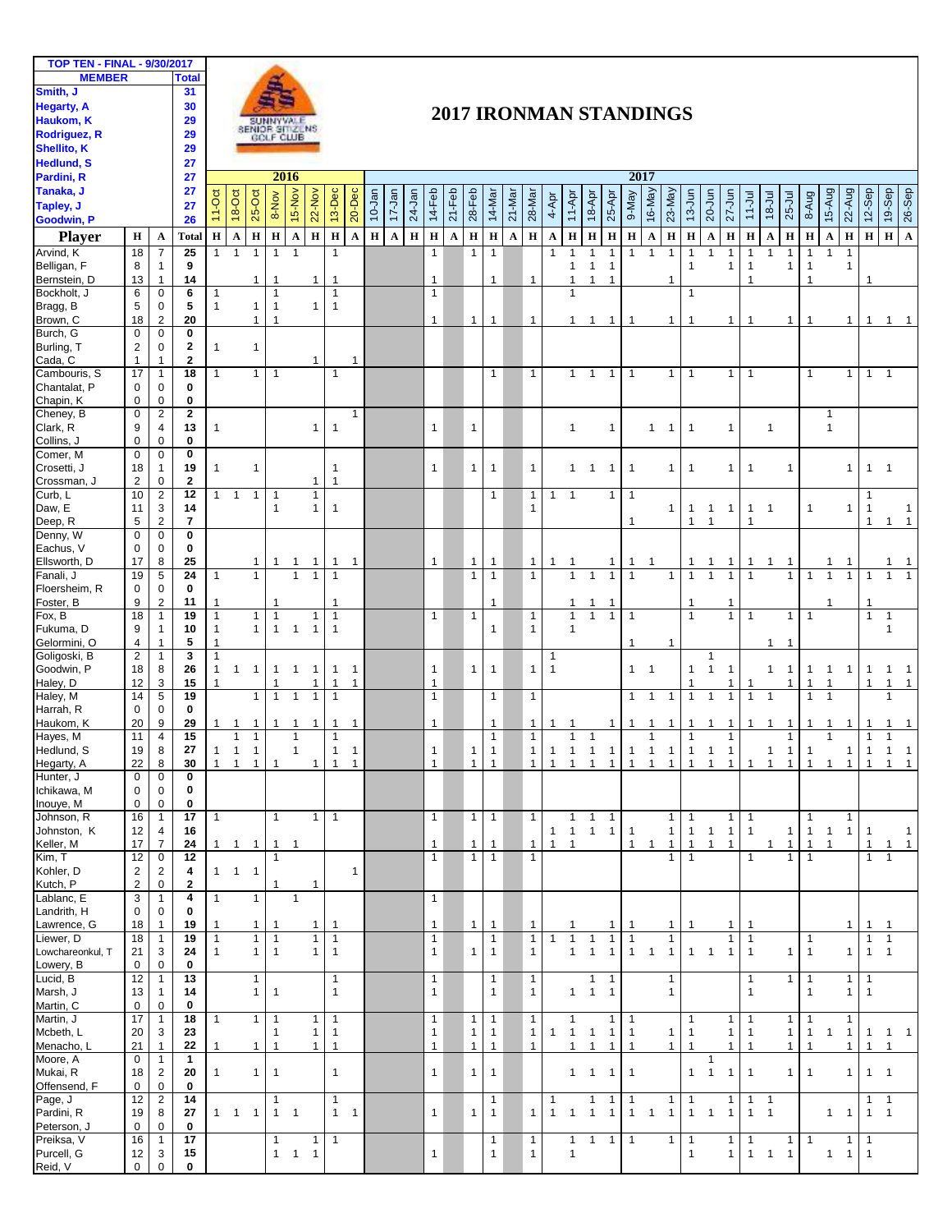| <b>TOP TEN - FINAL - 9/30/2017</b> |                |                  |                 |              |                                            |                     |                |                        |                |                |                        |             |             |             |              |             |              |              |             |              |                        |                |                     |                |                |                     |                |                |                     |                |                |                |                |                |                        |                |                |                |                |
|------------------------------------|----------------|------------------|-----------------|--------------|--------------------------------------------|---------------------|----------------|------------------------|----------------|----------------|------------------------|-------------|-------------|-------------|--------------|-------------|--------------|--------------|-------------|--------------|------------------------|----------------|---------------------|----------------|----------------|---------------------|----------------|----------------|---------------------|----------------|----------------|----------------|----------------|----------------|------------------------|----------------|----------------|----------------|----------------|
| <b>MEMBER</b>                      |                |                  | <b>Total</b>    |              |                                            |                     |                |                        |                |                |                        |             |             |             |              |             |              |              |             |              |                        |                |                     |                |                |                     |                |                |                     |                |                |                |                |                |                        |                |                |                |                |
| Smith, J                           |                |                  | 31              |              |                                            |                     |                |                        |                |                |                        |             |             |             |              |             |              |              |             |              |                        |                |                     |                |                |                     |                |                |                     |                |                |                |                |                |                        |                |                |                |                |
| <b>Hegarty, A</b>                  |                |                  | 30              |              |                                            |                     |                |                        |                |                |                        |             |             |             |              |             |              |              |             |              |                        |                |                     |                |                |                     |                |                |                     |                |                |                |                |                |                        |                |                |                |                |
| Haukom, K                          |                |                  | 29              |              | 2017 IRONMAN STANDINGS<br><b>SUNNYVALE</b> |                     |                |                        |                |                |                        |             |             |             |              |             |              |              |             |              |                        |                |                     |                |                |                     |                |                |                     |                |                |                |                |                |                        |                |                |                |                |
| <b>Rodriguez, R</b>                |                |                  |                 |              |                                            |                     |                | SENIOR SITIZENS        |                |                |                        |             |             |             |              |             |              |              |             |              |                        |                |                     |                |                |                     |                |                |                     |                |                |                |                |                |                        |                |                |                |                |
|                                    |                |                  | 29              |              |                                            |                     |                |                        |                |                |                        |             |             |             |              |             |              |              |             |              |                        |                |                     |                |                |                     |                |                |                     |                |                |                |                |                |                        |                |                |                |                |
| <b>Shellito, K</b>                 |                |                  | 29              |              |                                            |                     |                |                        |                |                |                        |             |             |             |              |             |              |              |             |              |                        |                |                     |                |                |                     |                |                |                     |                |                |                |                |                |                        |                |                |                |                |
| <b>Hedlund, S</b>                  |                |                  | 27              |              |                                            |                     |                |                        |                |                |                        |             |             |             |              |             |              |              |             |              |                        |                |                     |                |                |                     |                |                |                     |                |                |                |                |                |                        |                |                |                |                |
| Pardini, R                         |                |                  | 27              |              |                                            |                     |                | 2016                   |                |                |                        |             |             |             |              |             |              |              |             |              |                        |                |                     |                | 2017           |                     |                |                |                     |                |                |                |                |                |                        |                |                |                |                |
| Tanaka, J                          |                |                  | 27              |              |                                            |                     |                |                        |                |                |                        |             |             |             |              |             |              |              |             |              |                        |                |                     |                |                |                     |                |                |                     |                |                |                |                |                |                        |                |                |                |                |
| Tapley, J                          |                |                  | 27              | $11-Oct$     | 18-Oct                                     | $25-Or$             | 8-Nov          | 15-Nov                 | 22-Nov         | 13-Dec         | 20-Dec                 | 10-Jan      | 17-Jan      | $24-Jan$    | 14-Feb       | $21 - Feb$  | $28-Feb$     | 14-Mar       | 21-Mar      | 28-Mar       | 4-Apr                  | $11-Apr$       | 18-Apr              | 25-Apr         | 9-May          | 16-May              | 23-May         | $13-Jun$       | 20-Jun              | $27 - Jun$     | $11 -$ Jul     | $18 - 101$     | $25 -$ Jul     | 8-Aug          | 15-Aug                 | 22-Aug         | $12-$ Sep      | 19-Sep         | $26-$ Sep      |
| Goodwin, P                         |                |                  | 26              |              |                                            |                     |                |                        |                |                |                        |             |             |             |              |             |              |              |             |              |                        |                |                     |                |                |                     |                |                |                     |                |                |                |                |                |                        |                |                |                |                |
|                                    |                |                  |                 |              |                                            |                     |                |                        |                |                |                        |             |             |             |              |             |              |              |             |              |                        |                |                     |                |                |                     |                |                |                     |                |                |                |                |                |                        |                |                |                |                |
| <b>Player</b>                      | $\bf H$        | $\mathbf A$      | Total           | $\mathbf H$  | $\mathbf A$                                | $\, {\bf H}$        | $\mathbf H$    | $\boldsymbol{\Lambda}$ | $\mathbf H$    | $\mathbf{H}$   | $\boldsymbol{\Lambda}$ | $\mathbf H$ | $\mathbf A$ | $\mathbf H$ | $\, {\bf H}$ | $\mathbf A$ | $\mathbf H$  | $\mathbf H$  | $\mathbf A$ | $\mathbf H$  | $\boldsymbol{\Lambda}$ | $\mathbf H$    | $\mathbf H$         | $\, {\bf H}$   | $\mathbf H$    | $\mathbf A$         | $\mathbf H$    | $\mathbf H$    | $\mathbf{A}$        | $\mathbf H$    | $\mathbf H$    | $\mathbf A$    | $\mathbf H$    | $\mathbf H$    | $\boldsymbol{\Lambda}$ | $\mathbf H$    | $H$ H          |                | $\mathbf{A}$   |
| Arvind, K                          | 18             | 7                | 25              | $\mathbf{1}$ | $\mathbf{1}$                               | $\mathbf{1}$        | $\mathbf{1}$   | $\mathbf{1}$           |                | $\mathbf{1}$   |                        |             |             |             | $\mathbf{1}$ |             | $\mathbf{1}$ | $\mathbf{1}$ |             |              | $\mathbf{1}$           | $\mathbf{1}$   | $\mathbf{1}$        | $\mathbf{1}$   | $\mathbf{1}$   | $\overline{1}$      | $\mathbf{1}$   | $\mathbf{1}$   | $\mathbf{1}$        | $\mathbf{1}$   | $\mathbf{1}$   | $\mathbf{1}$   | $\mathbf{1}$   | $\mathbf{1}$   | $\mathbf{1}$           | $\mathbf{1}$   |                |                |                |
| Belligan, F                        | 8              | $\mathbf{1}$     | 9               |              |                                            |                     |                |                        |                |                |                        |             |             |             |              |             |              |              |             |              |                        | $\mathbf{1}$   | $\mathbf{1}$        | $\mathbf{1}$   |                |                     |                | $\overline{1}$ |                     | 1              | $\mathbf{1}$   |                | 1              | $\mathbf{1}$   |                        | $\mathbf{1}$   |                |                |                |
| Bernstein, D                       | 13             | $\mathbf{1}$     | 14              |              |                                            | $\mathbf{1}$        | $\mathbf{1}$   |                        | $\mathbf{1}$   | $\mathbf{1}$   |                        |             |             |             | $\mathbf{1}$ |             |              | $\mathbf{1}$ |             | $\mathbf{1}$ |                        | $\mathbf{1}$   | $\mathbf{1}$        | $\overline{1}$ |                |                     | $\mathbf{1}$   |                |                     |                | $\overline{1}$ |                |                | 1              |                        |                |                |                |                |
| Bockholt, J                        | 6              | $\mathbf 0$      | 6               | $\mathbf{1}$ |                                            |                     | 1              |                        |                | $\mathbf{1}$   |                        |             |             |             | $\mathbf{1}$ |             |              |              |             |              |                        | $\mathbf{1}$   |                     |                |                |                     |                | $\overline{1}$ |                     |                |                |                |                |                |                        |                |                |                |                |
| Bragg, B                           | 5              | 0                | 5               | $\mathbf{1}$ |                                            | $\mathbf{1}$        | $\mathbf{1}$   |                        | $\mathbf{1}$   | $\mathbf{1}$   |                        |             |             |             |              |             |              |              |             |              |                        |                |                     |                |                |                     |                |                |                     |                |                |                |                |                |                        |                |                |                |                |
|                                    | 18             |                  | 20              |              |                                            | $\mathbf{1}$        | $\overline{1}$ |                        |                |                |                        |             |             |             | $\mathbf{1}$ |             | $\mathbf{1}$ | $\mathbf{1}$ |             | $\mathbf{1}$ |                        | $\mathbf{1}$   |                     |                | $\mathbf{1}$   |                     |                | $\overline{1}$ |                     |                | $\mathbf{1}$   |                |                | $\mathbf{1}$   |                        |                | $\mathbf{1}$   |                | $\overline{1}$ |
| Brown, C                           |                | $\overline{c}$   |                 |              |                                            |                     |                |                        |                |                |                        |             |             |             |              |             |              |              |             |              |                        |                | $1 \quad 1$         |                |                |                     | $\mathbf{1}$   |                |                     | 1              |                |                | $\mathbf{1}$   |                |                        | $\mathbf{1}$   |                | $\mathbf{1}$   |                |
| Burch, G                           | $\mathbf 0$    | $\mathbf 0$      | $\mathbf 0$     |              |                                            |                     |                |                        |                |                |                        |             |             |             |              |             |              |              |             |              |                        |                |                     |                |                |                     |                |                |                     |                |                |                |                |                |                        |                |                |                |                |
| Burling, T                         | $\overline{2}$ | $\mathbf 0$      | $\mathbf{2}$    | $\mathbf{1}$ |                                            | $\mathbf{1}$        |                |                        |                |                |                        |             |             |             |              |             |              |              |             |              |                        |                |                     |                |                |                     |                |                |                     |                |                |                |                |                |                        |                |                |                |                |
| Cada, C                            | $\mathbf{1}$   | $\mathbf{1}$     | $\mathbf{2}$    |              |                                            |                     |                |                        | $\mathbf{1}$   |                | $\mathbf{1}$           |             |             |             |              |             |              |              |             |              |                        |                |                     |                |                |                     |                |                |                     |                |                |                |                |                |                        |                |                |                |                |
| Cambouris, S                       | 17             | $\mathbf{1}$     | 18              | $\mathbf{1}$ |                                            | $\mathbf{1}$        | $\mathbf{1}$   |                        |                | $\mathbf{1}$   |                        |             |             |             |              |             |              | $\mathbf{1}$ |             | $\mathbf{1}$ |                        | $\mathbf{1}$   | $\mathbf{1}$        | $\mathbf{1}$   | $\mathbf{1}$   |                     | $\mathbf{1}$   | $\mathbf{1}$   |                     | $\mathbf{1}$   | $\mathbf{1}$   |                |                | $\mathbf{1}$   |                        | $\mathbf{1}$   | $\mathbf{1}$   | $\overline{1}$ |                |
| Chantalat, P                       | $\mathbf 0$    | $\mathbf 0$      | $\bf{0}$        |              |                                            |                     |                |                        |                |                |                        |             |             |             |              |             |              |              |             |              |                        |                |                     |                |                |                     |                |                |                     |                |                |                |                |                |                        |                |                |                |                |
| Chapin, K                          | $\mathbf 0$    | $\mathbf 0$      | 0               |              |                                            |                     |                |                        |                |                |                        |             |             |             |              |             |              |              |             |              |                        |                |                     |                |                |                     |                |                |                     |                |                |                |                |                |                        |                |                |                |                |
| Cheney, B                          | $\mathbf 0$    | $\overline{2}$   | $\mathbf{2}$    |              |                                            |                     |                |                        |                |                | $\mathbf{1}$           |             |             |             |              |             |              |              |             |              |                        |                |                     |                |                |                     |                |                |                     |                |                |                |                |                | 1                      |                |                |                |                |
| Clark, R                           | 9              | $\overline{4}$   | 13              | $\mathbf{1}$ |                                            |                     |                |                        | $\mathbf{1}$   | $\mathbf{1}$   |                        |             |             |             | $\mathbf{1}$ |             | $\mathbf{1}$ |              |             |              |                        | $\mathbf{1}$   |                     | $\mathbf{1}$   |                | $\mathbf{1}$        | $\mathbf{1}$   | $\overline{1}$ |                     | $\mathbf{1}$   |                | $\mathbf{1}$   |                |                | $\mathbf{1}$           |                |                |                |                |
| Collins, J                         | $\mathbf 0$    | $\mathbf 0$      | $\bf{0}$        |              |                                            |                     |                |                        |                |                |                        |             |             |             |              |             |              |              |             |              |                        |                |                     |                |                |                     |                |                |                     |                |                |                |                |                |                        |                |                |                |                |
| Comer, M                           | $\mathbf 0$    | $\mathbf 0$      | $\mathbf 0$     |              |                                            |                     |                |                        |                |                |                        |             |             |             |              |             |              |              |             |              |                        |                |                     |                |                |                     |                |                |                     |                |                |                |                |                |                        |                |                |                |                |
|                                    |                |                  |                 |              |                                            |                     |                |                        |                |                |                        |             |             |             |              |             |              |              |             |              |                        |                |                     |                |                |                     |                |                |                     |                |                |                |                |                |                        |                |                |                |                |
| Crosetti, J                        | 18             | $\mathbf{1}$     | 19              | $\mathbf{1}$ |                                            | $\mathbf{1}$        |                |                        |                | $\mathbf{1}$   |                        |             |             |             | $\mathbf{1}$ |             | $\mathbf{1}$ | $\mathbf{1}$ |             | $\mathbf{1}$ |                        | $1 \quad 1$    |                     | $\overline{1}$ | $\mathbf{1}$   |                     | $\mathbf{1}$   | $\mathbf{1}$   |                     | $\mathbf{1}$   | $\mathbf{1}$   |                | $\mathbf{1}$   |                |                        | $\mathbf{1}$   | $\mathbf{1}$   | $\overline{1}$ |                |
| Crossman, J                        | $\overline{2}$ | 0                | $\mathbf{2}$    |              |                                            |                     |                |                        | $\mathbf{1}$   | $\mathbf{1}$   |                        |             |             |             |              |             |              |              |             |              |                        |                |                     |                |                |                     |                |                |                     |                |                |                |                |                |                        |                |                |                |                |
| Curb, L                            | 10             | $\boldsymbol{2}$ | 12              |              | $1 \quad 1$                                | $\mathbf{1}$        | $\mathbf 1$    |                        | $\mathbf{1}$   |                |                        |             |             |             |              |             |              | $\mathbf{1}$ |             | $\mathbf{1}$ | $\mathbf{1}$           | $\overline{1}$ |                     | 1              | $\overline{1}$ |                     |                |                |                     |                |                |                |                |                |                        |                | $\mathbf{1}$   |                |                |
| Daw, E                             | 11             | 3                | 14              |              |                                            |                     | $\mathbf{1}$   |                        | $\mathbf{1}$   | $\mathbf{1}$   |                        |             |             |             |              |             |              |              |             | $\mathbf{1}$ |                        |                |                     |                |                |                     | $\mathbf{1}$   | $\mathbf{1}$   | $\mathbf{1}$        | $\mathbf{1}$   | $\mathbf{1}$   | $\overline{1}$ |                | $\mathbf{1}$   |                        | $\mathbf{1}$   | $\mathbf{1}$   |                | 1              |
| Deep, R                            | 5              | $\overline{c}$   | 7               |              |                                            |                     |                |                        |                |                |                        |             |             |             |              |             |              |              |             |              |                        |                |                     |                | $\overline{1}$ |                     |                | $\overline{1}$ | $\mathbf{1}$        |                | $\mathbf{1}$   |                |                |                |                        |                | $\mathbf{1}$   | $\mathbf{1}$   | $\overline{1}$ |
| Denny, W                           | $\mathbf 0$    | $\mathbf 0$      | $\mathbf 0$     |              |                                            |                     |                |                        |                |                |                        |             |             |             |              |             |              |              |             |              |                        |                |                     |                |                |                     |                |                |                     |                |                |                |                |                |                        |                |                |                |                |
| Eachus, V                          | 0              | $\mathbf 0$      | $\bf{0}$        |              |                                            |                     |                |                        |                |                |                        |             |             |             |              |             |              |              |             |              |                        |                |                     |                |                |                     |                |                |                     |                |                |                |                |                |                        |                |                |                |                |
| Ellsworth, D                       | 17             | 8                | 25              |              |                                            | $\mathbf{1}$        | $\mathbf{1}$   | $\mathbf{1}$           | $\mathbf{1}$   | $\mathbf{1}$   | $\overline{1}$         |             |             |             | $\mathbf{1}$ |             | $\mathbf{1}$ | $\mathbf{1}$ |             | $\mathbf{1}$ | 1                      | -1             |                     | 1              | 1              |                     |                | -1             | 1                   | $\mathbf{1}$   | 1              | 1              | 1              |                | 1                      | $\mathbf 1$    |                |                |                |
| Fanali, J                          | 19             | 5                | 24              | $\mathbf{1}$ |                                            | $\mathbf{1}$        |                | $\mathbf{1}$           | $\mathbf{1}$   | $\mathbf{1}$   |                        |             |             |             |              |             | $\mathbf{1}$ | $\mathbf{1}$ |             | $\mathbf{1}$ |                        | $\mathbf{1}$   | $\mathbf{1}$        | $\mathbf{1}$   | $\overline{1}$ |                     | $\mathbf{1}$   | $\mathbf{1}$   |                     | $\mathbf{1}$   | $\mathbf{1}$   |                | $\mathbf{1}$   |                | $\mathbf{1}$           | $\mathbf{1}$   |                |                |                |
| Floersheim, R                      | 0              | $\mathbf 0$      | $\bf{0}$        |              |                                            |                     |                |                        |                |                |                        |             |             |             |              |             |              |              |             |              |                        |                |                     |                |                |                     |                |                |                     |                |                |                |                |                |                        |                |                |                |                |
| Foster, B                          | 9              | $\overline{2}$   | 11              | 1            |                                            |                     | $\mathbf{1}$   |                        |                | $\mathbf{1}$   |                        |             |             |             |              |             |              | 1            |             |              |                        | $\mathbf{1}$   | $\mathbf{1}$        | $\mathbf{1}$   |                |                     |                | $\overline{1}$ |                     | 1              |                |                |                |                | $\mathbf{1}$           |                | $\mathbf{1}$   |                |                |
| Fox, B                             | 18             | $\overline{1}$   | 19              | $\mathbf{1}$ |                                            | $\mathbf{1}$        | $\mathbf{1}$   |                        | $\overline{1}$ | $\mathbf{1}$   |                        |             |             |             | $\mathbf{1}$ |             | $\mathbf{1}$ |              |             | $\mathbf{1}$ |                        | $\mathbf{1}$   | $\mathbf{1}$        | $\mathbf{1}$   | $\overline{1}$ |                     |                | $\overline{1}$ |                     | $\mathbf{1}$   | $\mathbf{1}$   |                | $\mathbf{1}$   | $\mathbf{1}$   |                        |                | $\mathbf{1}$   | $\overline{1}$ |                |
| Fukuma, D                          | 9              | $\mathbf{1}$     | 10              | $\mathbf{1}$ |                                            | $\mathbf{1}$        | $\mathbf{1}$   | $\overline{1}$         | $\mathbf{1}$   | $\mathbf{1}$   |                        |             |             |             |              |             |              | $\mathbf{1}$ |             | $\mathbf{1}$ |                        | $\mathbf{1}$   |                     |                |                |                     |                |                |                     |                |                |                |                |                |                        |                |                | $\mathbf{1}$   |                |
| Gelormini, O                       | 4              | 1                | 5               | $\mathbf{1}$ |                                            |                     |                |                        |                |                |                        |             |             |             |              |             |              |              |             |              |                        |                |                     |                | $\overline{1}$ |                     |                |                |                     |                |                |                | $\mathbf{1}$   |                |                        |                |                |                |                |
|                                    |                |                  |                 |              |                                            |                     |                |                        |                |                |                        |             |             |             |              |             |              |              |             |              |                        |                |                     |                |                |                     | 1              |                |                     |                |                | 1              |                |                |                        |                |                |                |                |
| Goligoski, B                       | $\overline{2}$ | $\mathbf{1}$     | $\mathbf{3}$    | $\mathbf{1}$ |                                            |                     |                |                        |                |                |                        |             |             |             |              |             |              |              |             |              | $\mathbf{1}$           |                |                     |                |                |                     |                |                | 1                   |                |                |                |                |                |                        |                |                |                |                |
| Goodwin, P                         | 18             | 8                | 26              | $\mathbf{1}$ | $\mathbf{1}$                               | $\mathbf{1}$        | $\mathbf{1}$   | $\overline{1}$         | $\mathbf{1}$   | $\mathbf{1}$   | $\overline{1}$         |             |             |             | $\mathbf{1}$ |             | $\mathbf{1}$ | $\mathbf{1}$ |             | $\mathbf{1}$ | $\mathbf{1}$           |                |                     |                | $1 \quad 1$    |                     |                | $\mathbf{1}$   | $\mathbf{1}$        | $\mathbf{1}$   |                | $\mathbf{1}$   | $\mathbf{1}$   | $\mathbf{1}$   | $\mathbf{1}$           | $\mathbf{1}$   | $\mathbf{1}$   | $\mathbf{1}$   | $\overline{1}$ |
| Haley, D                           | 12             | 3                | 15              | $\mathbf{1}$ |                                            |                     | 1              |                        | 1              | $\mathbf{1}$   | $\mathbf{1}$           |             |             |             | $\mathbf{1}$ |             |              |              |             |              |                        |                |                     |                |                |                     |                | $\overline{1}$ |                     | $\mathbf{1}$   | $\overline{1}$ |                | 1              | 1              | 1                      |                | $\overline{1}$ | $\mathbf{1}$   | $\mathbf{1}$   |
| Haley, M                           | 14             | 5                | 19              |              |                                            | $\mathbf{1}$        | 1              | $\mathbf{1}$           | $\mathbf{1}$   | $\mathbf{1}$   |                        |             |             |             | $\mathbf{1}$ |             |              | $\mathbf{1}$ |             | $\mathbf{1}$ |                        |                |                     |                | $\mathbf{1}$   | $\overline{1}$      | $\overline{1}$ | $\overline{1}$ | 1                   | $\mathbf{1}$   | $\mathbf{1}$   | $\mathbf{1}$   |                | 1              | $\overline{1}$         |                |                |                |                |
| Harrah, R                          | $\mathbf 0$    | 0                | 0               |              |                                            |                     |                |                        |                |                |                        |             |             |             |              |             |              |              |             |              |                        |                |                     |                |                |                     |                |                |                     |                |                |                |                |                |                        |                |                |                |                |
| Haukom, K                          | 20             | 9                | 29              | $\mathbf{1}$ | $\overline{1}$                             | $\mathbf{1}$        | $\mathbf{1}$   | $\mathbf{1}$           | $\mathbf{1}$   | $\mathbf{1}$   | $\overline{1}$         |             |             |             | $\mathbf{1}$ |             |              | 1            |             | $\mathbf{1}$ |                        | $\overline{1}$ |                     | $\mathbf{1}$   | $\overline{1}$ | $\overline{1}$      | $\overline{1}$ | $\overline{1}$ | $\mathbf{1}$        | $\overline{1}$ | $1 \quad 1$    |                | $\mathbf{1}$   | 1              | $\mathbf{1}$           | $\mathbf{1}$   | $\mathbf{1}$   |                |                |
| Hayes, M                           | 11             | $\overline{4}$   | 15              |              | $\mathbf{1}$                               | $\mathbf{1}$        |                | $\mathbf{1}$           |                | $\mathbf{1}$   |                        |             |             |             |              |             |              | $\mathbf{1}$ |             | $\mathbf{1}$ |                        | $\mathbf{1}$   | $\mathbf{1}$        |                |                | $\mathbf{1}$        |                | $\mathbf{1}$   |                     | 1              |                |                | $\mathbf{1}$   |                | $\mathbf{1}$           |                | $\mathbf{1}$   | $\mathbf{1}$   |                |
| Hedlund, S                         | 19             | 8                | 27              |              |                                            | $1 \quad 1 \quad 1$ |                | $\mathbf{1}$           |                | 1              | $\overline{1}$         |             |             |             | $\mathbf{1}$ |             | $\mathbf{1}$ | $\mathbf{1}$ |             | $\mathbf{1}$ | 1                      |                | $1 \quad 1 \quad 1$ |                |                | $1 \quad 1 \quad 1$ |                |                | $1 \quad 1 \quad 1$ |                |                | $\mathbf{1}$   | 1 <sup>1</sup> | $\mathbf{1}$   |                        | $1 \vert$      | $\mathbf{1}$   | $1 \quad 1$    |                |
| Hegarty, A                         | 22             | 8                | 30              | $\mathbf{1}$ | $\mathbf{1}$                               | $\mathbf{1}$        | $\mathbf{1}$   |                        | $\mathbf{1}$   | $\mathbf{1}$   | $\overline{1}$         |             |             |             | $\mathbf{1}$ |             | $\mathbf{1}$ | $\mathbf{1}$ |             | $\mathbf{1}$ | $\mathbf{1}$           | $\mathbf{1}$   | $\overline{1}$      | $1 \mid 1$     |                | $1 \quad 1 \quad 1$ |                |                | $\overline{1}$      | $\overline{1}$ | $\overline{1}$ | $\overline{1}$ | 1              | $\mathbf{1}$   | $\overline{1}$         | 1              | $\mathbf{1}$   | $1 \quad 1$    |                |
| Hunter, J                          | $\mathbf 0$    | $\mathbf 0$      | $\bf{0}$        |              |                                            |                     |                |                        |                |                |                        |             |             |             |              |             |              |              |             |              |                        |                |                     |                |                |                     |                |                |                     |                |                |                |                |                |                        |                |                |                |                |
| Ichikawa, M                        | $\mathbf 0$    | 0                | $\mathbf 0$     |              |                                            |                     |                |                        |                |                |                        |             |             |             |              |             |              |              |             |              |                        |                |                     |                |                |                     |                |                |                     |                |                |                |                |                |                        |                |                |                |                |
| Inouye, M                          | 0              | 0                | 0               |              |                                            |                     |                |                        |                |                |                        |             |             |             |              |             |              |              |             |              |                        |                |                     |                |                |                     |                |                |                     |                |                |                |                |                |                        |                |                |                |                |
|                                    |                |                  |                 |              |                                            |                     |                |                        | $\mathbf{1}$   |                |                        |             |             |             |              |             |              |              |             |              |                        |                |                     |                |                |                     |                |                |                     |                |                |                |                |                |                        |                |                |                |                |
| Johnson, R                         | 16             | $\mathbf{1}$     | 17              | $\mathbf{1}$ |                                            |                     | $\mathbf{1}$   |                        |                | $\overline{1}$ |                        |             |             |             | $\mathbf{1}$ |             | $\mathbf{1}$ | $\mathbf{1}$ |             | $\mathbf{1}$ |                        | $\mathbf{1}$   | $\mathbf{1}$        | $\overline{1}$ |                |                     | $\mathbf{1}$   | $\mathbf{1}$   |                     | 1              | $\mathbf{1}$   |                |                | $\mathbf{1}$   |                        | $\mathbf{1}$   |                |                |                |
| Johnston, K                        | 12             | 4                | 16              |              |                                            |                     |                |                        |                |                |                        |             |             |             |              |             |              |              |             |              | $1 \quad 1$            |                | $\mathbf{1}$        | $\mathbf{1}$   | $\overline{1}$ |                     | $\mathbf{1}$   | $\mathbf{1}$   | $\overline{1}$      | $\mathbf{1}$   | $\mathbf{1}$   |                | $\mathbf{1}$   | $\mathbf{1}$   | $\overline{1}$         | $\mathbf{1}$   | $\mathbf 1$    |                | -1             |
| Keller, M                          | 17             | $\overline{7}$   | 24              |              |                                            | $1 \quad 1 \quad 1$ | $\overline{1}$ | $\overline{1}$         |                |                |                        |             |             |             | $\mathbf{1}$ |             | $\mathbf{1}$ | 1            |             | $\mathbf{1}$ | $\mathbf{1}$           | $\overline{1}$ |                     |                | $\mathbf{1}$   | $\overline{1}$      | $\mathbf{1}$   | $\overline{1}$ | $\mathbf{1}$        | $\overline{1}$ |                | 1              | $\mathbf{1}$   | $\mathbf{1}$   | $\mathbf{1}$           |                | $\mathbf{1}$   | $\mathbf{1}$   | $\mathbf 1$    |
| Kim, T                             | 12             | 0                | 12              |              |                                            |                     |                |                        |                |                |                        |             |             |             | $\mathbf{1}$ |             | $\mathbf{1}$ | $\mathbf{1}$ |             | $\mathbf{1}$ |                        |                |                     |                |                |                     | $\mathbf{1}$   | $\overline{1}$ |                     |                | $\mathbf{1}$   |                | $\mathbf{1}$   | 1              |                        |                | 1              |                |                |
| Kohler, D                          | $\overline{2}$ | 2                | 4               |              | $1 \quad 1 \quad 1$                        |                     |                |                        |                |                | $\mathbf{1}$           |             |             |             |              |             |              |              |             |              |                        |                |                     |                |                |                     |                |                |                     |                |                |                |                |                |                        |                |                |                |                |
| Kutch, P                           | $\mathbf 2$    | 0                | $\mathbf{2}$    |              |                                            |                     | 1              |                        | $\mathbf 1$    |                |                        |             |             |             |              |             |              |              |             |              |                        |                |                     |                |                |                     |                |                |                     |                |                |                |                |                |                        |                |                |                |                |
| Lablanc, E                         | 3              | $\mathbf{1}$     | 4               | $\mathbf{1}$ |                                            | $\mathbf{1}$        |                | $\mathbf{1}$           |                |                |                        |             |             |             | $\mathbf{1}$ |             |              |              |             |              |                        |                |                     |                |                |                     |                |                |                     |                |                |                |                |                |                        |                |                |                |                |
| Landrith, H                        | 0              | 0                | 0               |              |                                            |                     |                |                        |                |                |                        |             |             |             |              |             |              |              |             |              |                        |                |                     |                |                |                     |                |                |                     |                |                |                |                |                |                        |                |                |                |                |
| Lawrence, G                        | 18             | $\mathbf{1}$     | 19              | 1            |                                            | $\mathbf{1}$        | $\mathbf{1}$   |                        | $\mathbf{1}$   | $\mathbf{1}$   |                        |             |             |             | $\mathbf{1}$ |             | $\mathbf{1}$ | $\mathbf{1}$ |             | $\mathbf{1}$ |                        |                |                     | $\mathbf{1}$   | $\mathbf{1}$   |                     | $\mathbf{1}$   | $\overline{1}$ |                     | 1              | -1             |                |                |                |                        | $\mathbf{1}$   | $\mathbf{1}$   |                |                |
| Liewer, D                          | 18             | $\mathbf{1}$     | 19              | $\mathbf{1}$ |                                            | $\mathbf{1}$        | $\mathbf{1}$   |                        | $\mathbf{1}$   | $\mathbf{1}$   |                        |             |             |             | $\mathbf{1}$ |             |              | 1            |             | $\mathbf{1}$ | 1                      | $\mathbf{1}$   |                     | $\mathbf{1}$   | $\overline{1}$ |                     | 1              |                |                     | 1              | $\mathbf{1}$   |                |                | $\mathbf{1}$   |                        |                | $\mathbf{1}$   |                |                |
|                                    |                |                  |                 |              |                                            |                     |                |                        |                |                |                        |             |             |             |              |             |              |              |             |              |                        |                |                     |                |                |                     |                |                |                     |                |                |                |                |                |                        |                |                |                |                |
| Lowchareonkul, T                   | 21             | 3                | 24              | $\mathbf{1}$ |                                            | $\mathbf{1}$        | $\overline{1}$ |                        | $\mathbf{1}$   | $\overline{1}$ |                        |             |             |             | $\mathbf{1}$ |             | $\mathbf{1}$ | $\mathbf{1}$ |             | $\mathbf{1}$ |                        | $\mathbf{1}$   | $\mathbf{1}$        | $\mathbf{1}$   | $\mathbf{1}$   | $\overline{1}$      | 1              | $\mathbf{1}$   | $\overline{1}$      | $\mathbf{1}$   | $\mathbf{1}$   |                | $\mathbf{1}$   | $\mathbf{1}$   |                        | $\mathbf{1}$   | $\mathbf{1}$   | $\overline{1}$ |                |
| Lowery, B                          | 0              | 0                | 0               |              |                                            |                     |                |                        |                |                |                        |             |             |             |              |             |              |              |             |              |                        |                |                     |                |                |                     |                |                |                     |                |                |                |                |                |                        |                |                |                |                |
| Lucid, B                           | 12             | $\mathbf{1}$     | 13              |              |                                            | $\mathbf{1}$        |                |                        |                | $\mathbf{1}$   |                        |             |             |             | $\mathbf{1}$ |             |              | $\mathbf{1}$ |             | $\mathbf{1}$ |                        |                | $\mathbf{1}$        | $\overline{1}$ |                |                     | $\mathbf{1}$   |                |                     |                | $\mathbf{1}$   |                | $\mathbf{1}$   | $\overline{1}$ |                        | $\mathbf{1}$   | $\mathbf{1}$   |                |                |
| Marsh, J                           | 13             | $\mathbf{1}$     | 14              |              |                                            | $\mathbf{1}$        | $\mathbf{1}$   |                        |                | $\mathbf{1}$   |                        |             |             |             | $\mathbf{1}$ |             |              | 1            |             | $\mathbf{1}$ |                        | $\mathbf{1}$   | $\overline{1}$      | $\overline{1}$ |                |                     | $\mathbf{1}$   |                |                     |                | $\overline{1}$ |                |                | 1              |                        | $\mathbf{1}$   | $\mathbf{1}$   |                |                |
| Martin, C                          | $\mathbf 0$    | 0                | $\mathbf 0$     |              |                                            |                     |                |                        |                |                |                        |             |             |             |              |             |              |              |             |              |                        |                |                     |                |                |                     |                |                |                     |                |                |                |                |                |                        |                |                |                |                |
| Martin, J                          | 17             | $\mathbf{1}$     | 18              | $\mathbf{1}$ |                                            | $\mathbf{1}$        | $\overline{1}$ |                        | $\mathbf{1}$   | $\mathbf{1}$   |                        |             |             |             | $\mathbf{1}$ |             | $\mathbf{1}$ | $\mathbf{1}$ |             | $\mathbf{1}$ |                        | $\mathbf{1}$   |                     | $\mathbf{1}$   | $\overline{1}$ |                     |                | $\mathbf{1}$   |                     | $\mathbf{1}$   | $\mathbf{1}$   |                | $\mathbf{1}$   | $\mathbf{1}$   |                        | $\mathbf{1}$   |                |                |                |
| Mcbeth, L                          | 20             | 3                | 23              |              |                                            |                     | $\mathbf{1}$   |                        | $\mathbf{1}$   | $\mathbf{1}$   |                        |             |             |             | $\mathbf{1}$ |             | $\mathbf{1}$ | $\mathbf{1}$ |             | $\mathbf{1}$ | $\mathbf{1}$           | $\mathbf{1}$   | $\mathbf{1}$        | $\mathbf{1}$   | $\overline{1}$ |                     | $\mathbf{1}$   | $\mathbf{1}$   |                     | 1              | $\mathbf{1}$   |                | $\mathbf{1}$   | $\mathbf{1}$   | $\overline{1}$         | $\mathbf{1}$   | $\mathbf{1}$   | $1 \quad 1$    |                |
| Menacho, L                         | 21             | $\mathbf{1}$     | 22              | 1            |                                            | $\mathbf{1}$        | $\mathbf{1}$   |                        | $\mathbf{1}$   | $\mathbf{1}$   |                        |             |             |             | $\mathbf{1}$ |             | $\mathbf{1}$ | $\mathbf{1}$ |             | $\mathbf{1}$ |                        | $\mathbf{1}$   | $\mathbf{1}$        | $\mathbf{1}$   | $\overline{1}$ |                     | $\mathbf{1}$   | $\overline{1}$ |                     | $\mathbf{1}$   | $\mathbf{1}$   |                | $\mathbf{1}$   | $\mathbf{1}$   |                        | $\mathbf{1}$   | $\mathbf{1}$   | $\mathbf{1}$   |                |
| Moore, A                           | $\mathbf 0$    | $\mathbf{1}$     | $\mathbf{1}$    |              |                                            |                     |                |                        |                |                |                        |             |             |             |              |             |              |              |             |              |                        |                |                     |                |                |                     |                |                | 1                   |                |                |                |                |                |                        |                |                |                |                |
|                                    |                |                  | 20              |              |                                            | $\mathbf{1}$        |                |                        |                | $\mathbf{1}$   |                        |             |             |             | $\mathbf{1}$ |             |              |              |             |              |                        |                |                     |                |                |                     |                |                |                     |                |                |                | $\mathbf{1}$   |                |                        | $\mathbf{1}$   |                |                |                |
| Mukai, R                           | 18             | $\overline{2}$   |                 | $\mathbf{1}$ |                                            |                     | $\overline{1}$ |                        |                |                |                        |             |             |             |              |             | $\mathbf{1}$ | $\mathbf{1}$ |             |              |                        | $\mathbf{1}$   | $\overline{1}$      | $\mathbf{1}$   | $\overline{1}$ |                     |                | $\mathbf{1}$   | $\overline{1}$      | $\mathbf{1}$   | $\overline{1}$ |                |                | $\mathbf{1}$   |                        |                | $1 \quad 1$    |                |                |
| Offensend, F                       | 0              | 0                | 0               |              |                                            |                     |                |                        |                |                |                        |             |             |             |              |             |              |              |             |              |                        |                |                     |                |                |                     |                |                |                     |                |                |                |                |                |                        |                |                |                |                |
| Page, J                            | 12             | $\boldsymbol{2}$ | 14              |              |                                            |                     | $\mathbf{1}$   |                        |                | $\mathbf{1}$   |                        |             |             |             |              |             |              | $\mathbf{1}$ |             |              | 1                      |                | 1                   | $\mathbf{1}$   | $\mathbf{1}$   |                     | 1              | $\overline{1}$ |                     | 1              | $\mathbf{1}$   | $\overline{1}$ |                |                |                        |                | $\mathbf{1}$   | $\overline{1}$ |                |
| Pardini, R                         | 19             | 8                | 27              |              | $1 \quad 1$                                | $\mathbf{1}$        | $\mathbf{1}$   | $\overline{1}$         |                | $\mathbf{1}$   | $\overline{1}$         |             |             |             | $\mathbf{1}$ |             | $\mathbf{1}$ | $\mathbf{1}$ |             | $\mathbf{1}$ | $\mathbf{1}$           | $\overline{1}$ | $\overline{1}$      | $\mathbf{1}$   | $\mathbf{1}$   | $\overline{1}$      | $\mathbf{1}$   | $\mathbf{1}$   | $\overline{1}$      | $\mathbf{1}$   | $\mathbf{1}$   | $\overline{1}$ |                |                | 1                      | $\overline{1}$ | $1 \quad 1$    |                |                |
| Peterson, J                        | $\mathbf 0$    | $\mathbf 0$      | $\mathbf 0$     |              |                                            |                     |                |                        |                |                |                        |             |             |             |              |             |              |              |             |              |                        |                |                     |                |                |                     |                |                |                     |                |                |                |                |                |                        |                |                |                |                |
| Preiksa, V                         | 16             | $\mathbf{1}$     | $\overline{17}$ |              |                                            |                     | $\mathbf{1}$   |                        | $\mathbf{1}$   | $\mathbf{1}$   |                        |             |             |             |              |             |              | $\mathbf{1}$ |             | $\mathbf{1}$ |                        | $\mathbf{1}$   | $1 \quad 1$         |                | $\overline{1}$ |                     | 1 <sup>1</sup> | $\overline{1}$ |                     | $\mathbf{1}$   | $\mathbf{1}$   |                | $\mathbf{1}$   | $\mathbf{1}$   |                        | $\mathbf{1}$   | $\mathbf{1}$   |                |                |
| Purcell, G                         | 12             | 3                | 15              |              |                                            |                     | $\mathbf{1}$   | $\overline{1}$         | $\mathbf 1$    |                |                        |             |             |             |              |             |              |              |             | $\mathbf{1}$ |                        | $\mathbf{1}$   |                     |                |                |                     |                | $\overline{1}$ |                     | 1              | $\overline{1}$ | $\mathbf{1}$   | $\mathbf{1}$   |                | $\mathbf{1}$           | $\mathbf{1}$   |                |                |                |
|                                    |                |                  |                 |              |                                            |                     |                |                        |                |                |                        |             |             |             |              |             |              |              |             |              |                        |                |                     |                |                |                     |                |                |                     |                |                |                |                |                |                        |                |                |                |                |

Reid, V 0 0 **0**